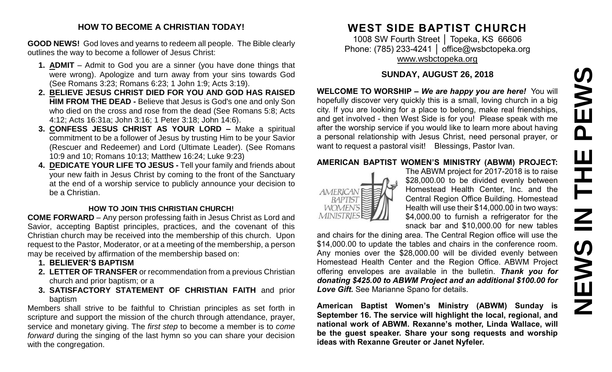# PEWS **NEWS IN THE PEWS**Ш **HH NH** EWS I Z

#### **HOW TO BECOME A CHRISTIAN TODAY!**

**GOOD NEWS!** God loves and yearns to redeem all people. The Bible clearly outlines the way to become a follower of Jesus Christ:

- **1. ADMIT** Admit to God you are a sinner (you have done things that were wrong). Apologize and turn away from your sins towards God (See Romans 3:23; Romans 6:23; 1 John 1:9; Acts 3:19).
- **2. BELIEVE JESUS CHRIST DIED FOR YOU AND GOD HAS RAISED HIM FROM THE DEAD -** Believe that Jesus is God's one and only Son who died on the cross and rose from the dead (See Romans 5:8; Acts 4:12; Acts 16:31a; John 3:16; 1 Peter 3:18; John 14:6).
- **3. CONFESS JESUS CHRIST AS YOUR LORD –** Make a spiritual commitment to be a follower of Jesus by trusting Him to be your Savior (Rescuer and Redeemer) and Lord (Ultimate Leader). (See Romans 10:9 and 10; Romans 10:13; Matthew 16:24; Luke 9:23)
- **4. DEDICATE YOUR LIFE TO JESUS -** Tell your family and friends about your new faith in Jesus Christ by coming to the front of the Sanctuary at the end of a worship service to publicly announce your decision to be a Christian.

#### **HOW TO JOIN THIS CHRISTIAN CHURCH!**

**COME FORWARD** – Any person professing faith in Jesus Christ as Lord and Savior, accepting Baptist principles, practices, and the covenant of this Christian church may be received into the membership of this church. Upon request to the Pastor, Moderator, or at a meeting of the membership, a person may be received by affirmation of the membership based on:

- **1. BELIEVER'S BAPTISM**
- **2. LETTER OF TRANSFER** or recommendation from a previous Christian church and prior baptism; or a
- **3. SATISFACTORY STATEMENT OF CHRISTIAN FAITH** and prior baptism

Members shall strive to be faithful to Christian principles as set forth in scripture and support the mission of the church through attendance, prayer, service and monetary giving. The *first step* to become a member is to *come forward* during the singing of the last hymn so you can share your decision with the congregation.

# **WEST SIDE BAPTIST CHURCH**

1008 SW Fourth Street │ Topeka, KS 66606 Phone: (785) 233-4241 | [office@wsbctopeka.org](mailto:office@wsbctopeka.org) [www.wsbctopeka.org](http://www.wsbctopeka.org/)

## **SUNDAY, AUGUST 26, 2018**

**WELCOME TO WORSHIP –** *We are happy you are here!* You will hopefully discover very quickly this is a small, loving church in a big city. If you are looking for a place to belong, make real friendships, and get involved - then West Side is for you! Please speak with me after the worship service if you would like to learn more about having a personal relationship with Jesus Christ, need personal prayer, or want to request a pastoral visit! Blessings, Pastor Ivan.

#### **AMERICAN BAPTIST WOMEN'S MINISTRY (ABWM) PROJECT:**



The ABWM project for 2017-2018 is to raise \$28,000.00 to be divided evenly between Homestead Health Center, Inc. and the Central Region Office Building. Homestead Health will use their \$14,000.00 in two ways: \$4,000.00 to furnish a refrigerator for the snack bar and \$10,000.00 for new tables

and chairs for the dining area. The Central Region office will use the \$14,000.00 to update the tables and chairs in the conference room. Any monies over the \$28,000.00 will be divided evenly between Homestead Health Center and the Region Office. ABWM Project offering envelopes are available in the bulletin. *Thank you for donating \$425.00 to ABWM Project and an additional \$100.00 for Love Gift.* See Marianne Spano for details.

**American Baptist Women's Ministry (ABWM) Sunday is September 16. The service will highlight the local, regional, and national work of ABWM. Rexanne's mother, Linda Wallace, will be the guest speaker. Share your song requests and worship ideas with Rexanne Greuter or Janet Nyfeler.**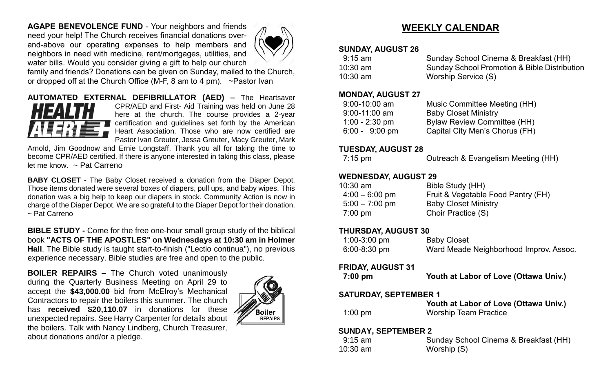**AGAPE BENEVOLENCE FUND** - Your neighbors and friends need your help! The Church receives financial donations overand-above our operating expenses to help members and neighbors in need with medicine, rent/mortgages, utilities, and water bills. Would you consider giving a gift to help our church



family and friends? Donations can be given on Sunday, mailed to the Church, or dropped off at the Church Office (M-F, 8 am to 4 pm). ~Pastor Ivan

#### **AUTOMATED EXTERNAL DEFIBRILLATOR (AED) –** The Heartsaver CPR/AED and First- Aid Training was held on June 28 here at the church. The course provides a 2-year certification and guidelines set forth by the American Heart Association. Those who are now certified are Pastor Ivan Greuter, Jessa Greuter, Macy Greuter, Mark

Arnold, Jim Goodnow and Ernie Longstaff. Thank you all for taking the time to become CPR/AED certified. If there is anyone interested in taking this class, please let me know. ~ Pat Carreno

**BABY CLOSET -** The Baby Closet received a donation from the Diaper Depot. Those items donated were several boxes of diapers, pull ups, and baby wipes. This donation was a big help to keep our diapers in stock. Community Action is now in charge of the Diaper Depot. We are so grateful to the Diaper Depot for their donation. ~ Pat Carreno

**BIBLE STUDY -** Come for the free one-hour small group study of the biblical book **"ACTS OF THE APOSTLES" on Wednesdays at 10:30 am in Holmer Hall**. The Bible study is taught start-to-finish ("Lectio continua"), no previous experience necessary. Bible studies are free and open to the public.

**BOILER REPAIRS –** The Church voted unanimously during the Quarterly Business Meeting on April 29 to accept the **\$43,000.00** bid from McElroy's Mechanical Contractors to repair the boilers this summer. The church has **received \$20,110.07** in donations for these unexpected repairs. See Harry Carpenter for details about the boilers. Talk with Nancy Lindberg, Church Treasurer, about donations and/or a pledge.



# **WEEKLY CALENDAR**

#### **SUNDAY, AUGUST 26**

| 9:15 am    | Sunday School Cinema & Breakfast (HH)        |
|------------|----------------------------------------------|
| 10:30 am   | Sunday School Promotion & Bible Distribution |
| $10:30$ am | Worship Service (S)                          |

#### **MONDAY, AUGUST 27**

| $9:00 - 10:00$ am        | Music Committee Meeting (HH)       |
|--------------------------|------------------------------------|
| $9:00 - 11:00$ am        | <b>Baby Closet Ministry</b>        |
| $1:00 - 2:30$ pm         | <b>Bylaw Review Committee (HH)</b> |
| $6:00 - 9:00 \text{ pm}$ | Capital City Men's Chorus (FH)     |

### **TUESDAY, AUGUST 28**

| $7:15 \text{ pm}$ | Outreach & Evangelism Meeting (HH) |
|-------------------|------------------------------------|
|-------------------|------------------------------------|

## **WEDNESDAY, AUGUST 29**

| $10:30$ am        | Bible Study (HH)                   |
|-------------------|------------------------------------|
| $4:00 - 6:00$ pm  | Fruit & Vegetable Food Pantry (FH) |
| $5:00 - 7:00$ pm  | <b>Baby Closet Ministry</b>        |
| $7:00 \text{ pm}$ | Choir Practice (S)                 |
|                   |                                    |

## **THURSDAY, AUGUST 30**

| $1:00-3:00$ pm   | <b>Baby Closet</b>                     |
|------------------|----------------------------------------|
| $6:00 - 8:30$ pm | Ward Meade Neighborhood Improv. Assoc. |

#### **FRIDAY, AUGUST 31**

| $7:00$ pm                    | Youth at Labor of Love (Ottawa Univ.) |
|------------------------------|---------------------------------------|
| <b>SATURDAY, SEPTEMBER 1</b> |                                       |
|                              | Youth at Labor of Love (Ottawa Univ.) |
| $1:00$ pm                    | <b>Worship Team Practice</b>          |
| <b>SUNDAY, SEPTEMBER 2</b>   |                                       |

# 9:15 am Sunday School Cinema & Breakfast (HH) 10:30 am Worship (S)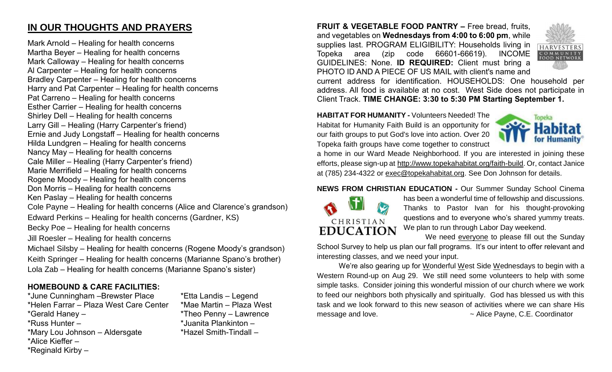# **IN OUR THOUGHTS AND PRAYERS**

Mark Arnold – Healing for health concerns Martha Beyer – Healing for health concerns Mark Calloway – Healing for health concerns Al Carpenter – Healing for health concerns Bradley Carpenter – Healing for health concerns Harry and Pat Carpenter – Healing for health concerns Pat Carreno – Healing for health concerns Esther Carrier – Healing for health concerns Shirley Dell – Healing for health concerns Larry Gill – Healing (Harry Carpenter's friend) Ernie and Judy Longstaff – Healing for health concerns Hilda Lundgren – Healing for health concerns Nancy May – Healing for health concerns Cale Miller – Healing (Harry Carpenter's friend) Marie Merrifield – Healing for health concerns Rogene Moody – Healing for health concerns Don Morris – Healing for health concerns Ken Paslay – Healing for health concerns Cole Payne – Healing for health concerns (Alice and Clarence's grandson) Edward Perkins – Healing for health concerns (Gardner, KS) Becky Poe – Healing for health concerns Jill Roesler – Healing for health concerns Michael Silsby – Healing for health concerns (Rogene Moody's grandson) Keith Springer – Healing for health concerns (Marianne Spano's brother)

Lola Zab – Healing for health concerns (Marianne Spano's sister)

## **HOMEBOUND & CARE FACILITIES:**

\*June Cunningham –Brewster Place \*Etta Landis – Legend \*Helen Farrar – Plaza West Care Center \*Mae Martin – Plaza West \*Gerald Haney – \*Theo Penny – Lawrence \*Russ Hunter – \*Juanita Plankinton – \*Mary Lou Johnson – Aldersgate \*Hazel Smith-Tindall – \*Alice Kieffer – \*Reginald Kirby –

**FRUIT & VEGETABLE FOOD PANTRY –** Free bread, fruits, and vegetables on **Wednesdays from 4:00 to 6:00 pm**, while supplies last. PROGRAM ELIGIBILITY: Households living in Topeka area (zip code 66601-66619). INCOME GUIDELINES: None. **ID REQUIRED:** Client must bring a PHOTO ID AND A PIECE OF US MAIL with client's name and



current address for identification. HOUSEHOLDS: One household per address. All food is available at no cost. West Side does not participate in Client Track. **TIME CHANGE: 3:30 to 5:30 PM Starting September 1.**

**HABITAT FOR HUMANITY -** Volunteers Needed! The Habitat for Humanity Faith Build is an opportunity for our faith groups to put God's love into action. Over 20 Topeka faith groups have come together to construct



a home in our Ward Meade Neighborhood. If you are interested in joining these efforts, please sign-up at [http://www.topekahabitat.org/faith-build.](http://www.topekahabitat.org/faith-build) Or, contact Janice at (785) 234-4322 or [exec@topekahabitat.org.](mailto:exec@topekahabitat.org) See Don Johnson for details.

#### **NEWS FROM CHRISTIAN EDUCATION -** Our Summer Sunday School Cinema



has been a wonderful time of fellowship and discussions. Thanks to Pastor Ivan for his thought-provoking questions and to everyone who's shared yummy treats. We plan to run through Labor Day weekend.

We need everyone to please fill out the Sunday

School Survey to help us plan our fall programs. It's our intent to offer relevant and interesting classes, and we need your input.

We're also gearing up for Wonderful West Side Wednesdays to begin with a Western Round-up on Aug 29. We still need some volunteers to help with some simple tasks. Consider joining this wonderful mission of our church where we work to feed our neighbors both physically and spiritually. God has blessed us with this task and we look forward to this new season of activities where we can share His message and love.  $\sim$  Alice Payne, C.E. Coordinator